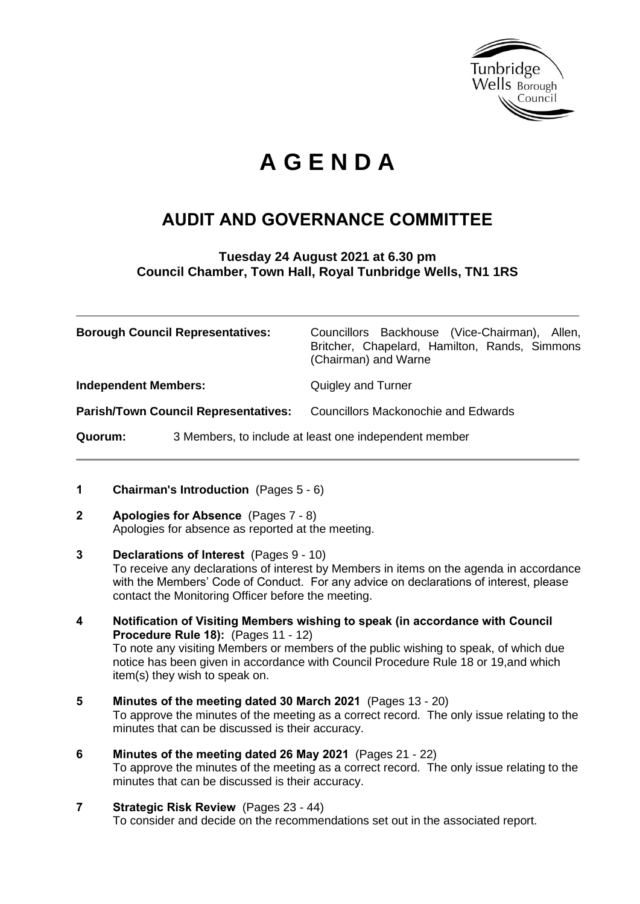

# **A G E N D A**

## **AUDIT AND GOVERNANCE COMMITTEE**

**Tuesday 24 August 2021 at 6.30 pm Council Chamber, Town Hall, Royal Tunbridge Wells, TN1 1RS**

|                                             | <b>Borough Council Representatives:</b>               | Councillors Backhouse (Vice-Chairman), Allen,<br>Britcher, Chapelard, Hamilton, Rands, Simmons<br>(Chairman) and Warne |
|---------------------------------------------|-------------------------------------------------------|------------------------------------------------------------------------------------------------------------------------|
| <b>Independent Members:</b>                 |                                                       | Quigley and Turner                                                                                                     |
| <b>Parish/Town Council Representatives:</b> |                                                       | <b>Councillors Mackonochie and Edwards</b>                                                                             |
| <b>Quorum:</b>                              | 3 Members, to include at least one independent member |                                                                                                                        |

- **1 Chairman's Introduction** (Pages 5 6)
- **2 Apologies for Absence** (Pages 7 8) Apologies for absence as reported at the meeting.
- **3 Declarations of Interest** (Pages 9 10) To receive any declarations of interest by Members in items on the agenda in accordance with the Members' Code of Conduct. For any advice on declarations of interest, please contact the Monitoring Officer before the meeting.
- **4 Notification of Visiting Members wishing to speak (in accordance with Council Procedure Rule 18):** (Pages 11 - 12) To note any visiting Members or members of the public wishing to speak, of which due notice has been given in accordance with Council Procedure Rule 18 or 19,and which item(s) they wish to speak on.
- **5 Minutes of the meeting dated 30 March 2021** (Pages 13 20) To approve the minutes of the meeting as a correct record. The only issue relating to the minutes that can be discussed is their accuracy.
- **6 Minutes of the meeting dated 26 May 2021** (Pages 21 22) To approve the minutes of the meeting as a correct record. The only issue relating to the minutes that can be discussed is their accuracy.
- **7 Strategic Risk Review** (Pages 23 44) To consider and decide on the recommendations set out in the associated report.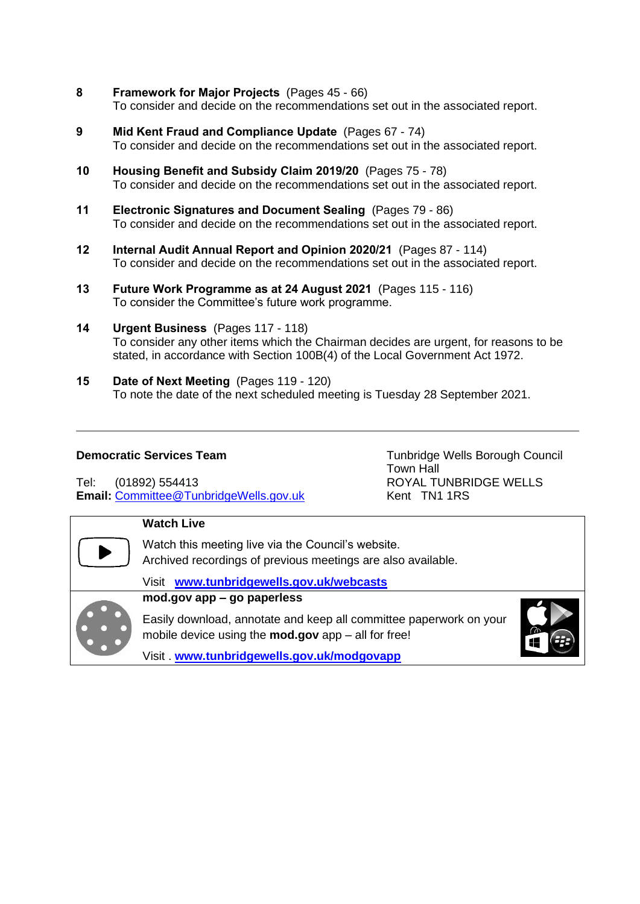- **8 Framework for Major Projects** (Pages 45 66) To consider and decide on the recommendations set out in the associated report.
- **9 Mid Kent Fraud and Compliance Update** (Pages 67 74) To consider and decide on the recommendations set out in the associated report.
- **10 Housing Benefit and Subsidy Claim 2019/20** (Pages 75 78) To consider and decide on the recommendations set out in the associated report.
- **11 Electronic Signatures and Document Sealing** (Pages 79 86) To consider and decide on the recommendations set out in the associated report.
- **12 Internal Audit Annual Report and Opinion 2020/21** (Pages 87 114) To consider and decide on the recommendations set out in the associated report.
- **13 Future Work Programme as at 24 August 2021** (Pages 115 116) To consider the Committee's future work programme.
- **14 Urgent Business** (Pages 117 118) To consider any other items which the Chairman decides are urgent, for reasons to be stated, in accordance with Section 100B(4) of the Local Government Act 1972.
- **15 Date of Next Meeting** (Pages 119 120) To note the date of the next scheduled meeting is Tuesday 28 September 2021.

Tel: (01892) 554413 ROYAL TUNBRIDGE WELLS **Email:** Committee@TunbridgeWells.gov.uk Kent TN1 1RS

**Democratic Services Team** Tunbridge Wells Borough Council Town Hall